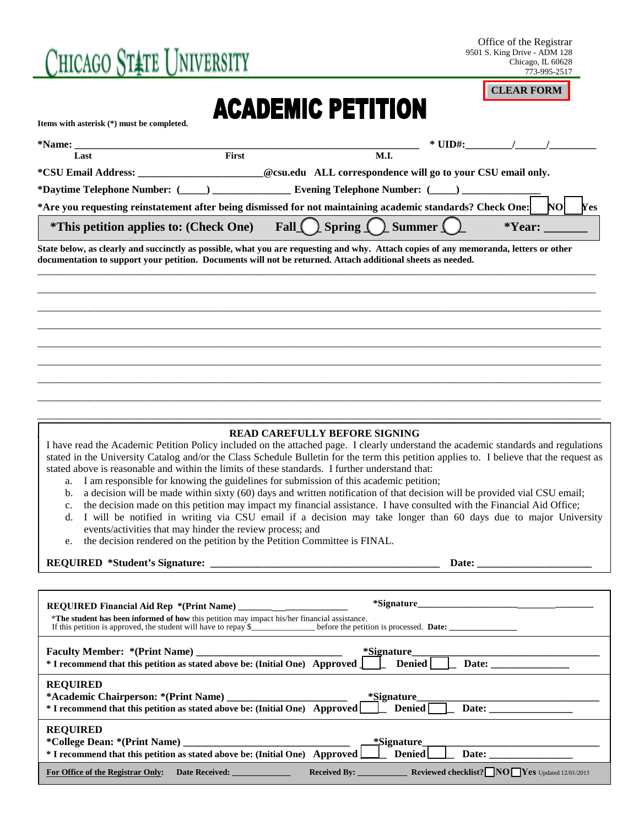# Chicago Ståte University

Office of the Registrar 9501 S. King Drive - ADM 128 Chicago, IL 60628 773-995-2517

**CLEAR FORM**

## **ACADEMIC PETITION**

**Items with asterisk (\*) must be completed.**

|                                                |              |                                                                                                                                       | $*$ UID#: |            |     |
|------------------------------------------------|--------------|---------------------------------------------------------------------------------------------------------------------------------------|-----------|------------|-----|
| Last                                           | <b>First</b> | <b>M.I.</b>                                                                                                                           |           |            |     |
| *CSU Email Address:                            |              | @csu.edu ALL correspondence will go to your CSU email only.                                                                           |           |            |     |
|                                                |              |                                                                                                                                       |           |            |     |
|                                                |              | *Are you requesting reinstatement after being dismissed for not maintaining academic standards? Check One:                            |           | <b>NOI</b> | Yes |
| <i>*</i> This petition applies to: (Check One) |              | Fall $\bigcap$ Spring $\bigcap$ Summer $\bigcap$                                                                                      |           | *Year:     |     |
|                                                |              | State below, as clearly and succinctly as possible, what you are requesting and why. Attach copies of any memoranda, letters or other |           |            |     |

\_\_\_\_\_\_\_\_\_\_\_\_\_\_\_\_\_\_\_\_\_\_\_\_\_\_\_\_\_\_\_\_\_\_\_\_\_\_\_\_\_\_\_\_\_\_\_\_\_\_\_\_\_\_\_\_\_\_\_\_\_\_\_\_\_\_\_\_\_\_\_\_\_\_\_\_\_\_\_\_\_\_\_\_\_\_\_\_\_\_\_\_\_\_\_\_\_\_\_\_\_\_\_\_\_\_\_ \_\_\_\_\_\_\_\_\_\_\_\_\_\_\_\_\_\_\_\_\_\_\_\_\_\_\_\_\_\_\_\_\_\_\_\_\_\_\_\_\_\_\_\_\_\_\_\_\_\_\_\_\_\_\_\_\_\_\_\_\_\_\_\_\_\_\_\_\_\_\_\_\_\_\_\_\_\_\_\_\_\_\_\_\_\_\_\_\_\_\_\_\_\_\_\_\_\_\_\_\_\_\_\_\_\_\_\_ \_\_\_\_\_\_\_\_\_\_\_\_\_\_\_\_\_\_\_\_\_\_\_\_\_\_\_\_\_\_\_\_\_\_\_\_\_\_\_\_\_\_\_\_\_\_\_\_\_\_\_\_\_\_\_\_\_\_\_\_\_\_\_\_\_\_\_\_\_\_\_\_\_\_\_\_\_\_\_\_\_\_\_\_\_\_\_\_\_\_\_\_\_\_\_\_\_\_\_\_\_\_\_\_\_\_\_\_ \_\_\_\_\_\_\_\_\_\_\_\_\_\_\_\_\_\_\_\_\_\_\_\_\_\_\_\_\_\_\_\_\_\_\_\_\_\_\_\_\_\_\_\_\_\_\_\_\_\_\_\_\_\_\_\_\_\_\_\_\_\_\_\_\_\_\_\_\_\_\_\_\_\_\_\_\_\_\_\_\_\_\_\_\_\_\_\_\_\_\_\_\_\_\_\_\_\_\_\_\_\_\_\_\_\_\_\_ \_\_\_\_\_\_\_\_\_\_\_\_\_\_\_\_\_\_\_\_\_\_\_\_\_\_\_\_\_\_\_\_\_\_\_\_\_\_\_\_\_\_\_\_\_\_\_\_\_\_\_\_\_\_\_\_\_\_\_\_\_\_\_\_\_\_\_\_\_\_\_\_\_\_\_\_\_\_\_\_\_\_\_\_\_\_\_\_\_\_\_\_\_\_\_\_\_\_\_\_\_\_\_\_\_\_\_\_ \_\_\_\_\_\_\_\_\_\_\_\_\_\_\_\_\_\_\_\_\_\_\_\_\_\_\_\_\_\_\_\_\_\_\_\_\_\_\_\_\_\_\_\_\_\_\_\_\_\_\_\_\_\_\_\_\_\_\_\_\_\_\_\_\_\_\_\_\_\_\_\_\_\_\_\_\_\_\_\_\_\_\_\_\_\_\_\_\_\_\_\_\_\_\_\_\_\_\_\_\_\_\_\_\_\_\_\_ \_\_\_\_\_\_\_\_\_\_\_\_\_\_\_\_\_\_\_\_\_\_\_\_\_\_\_\_\_\_\_\_\_\_\_\_\_\_\_\_\_\_\_\_\_\_\_\_\_\_\_\_\_\_\_\_\_\_\_\_\_\_\_\_\_\_\_\_\_\_\_\_\_\_\_\_\_\_\_\_\_\_\_\_\_\_\_\_\_\_\_\_\_\_\_\_\_\_\_\_\_\_\_\_\_\_\_\_ \_\_\_\_\_\_\_\_\_\_\_\_\_\_\_\_\_\_\_\_\_\_\_\_\_\_\_\_\_\_\_\_\_\_\_\_\_\_\_\_\_\_\_\_\_\_\_\_\_\_\_\_\_\_\_\_\_\_\_\_\_\_\_\_\_\_\_\_\_\_\_\_\_\_\_\_\_\_\_\_\_\_\_\_\_\_\_\_\_\_\_\_\_\_\_\_\_\_\_\_\_\_\_\_\_\_\_\_

**documentation to support your petition. Documents will not be returned. Attach additional sheets as needed.** \_\_\_\_\_\_\_\_\_\_\_\_\_\_\_\_\_\_\_\_\_\_\_\_\_\_\_\_\_\_\_\_\_\_\_\_\_\_\_\_\_\_\_\_\_\_\_\_\_\_\_\_\_\_\_\_\_\_\_\_\_\_\_\_\_\_\_\_\_\_\_\_\_\_\_\_\_\_\_\_\_\_\_\_\_\_\_\_\_\_\_\_\_\_\_\_\_\_\_\_\_\_\_\_\_\_\_

#### $\blacksquare$  **READ CAREFULLY BEFORE SIGNING**

I have read the Academic Petition Policy included on the attached page. I clearly understand the academic standards and regulations stated in the University Catalog and/or the Class Schedule Bulletin for the term this petition applies to. I believe that the request as stated above is reasonable and within the limits of these standards. I further understand that:

- a. I am responsible for knowing the guidelines for submission of this academic petition;
- b. a decision will be made within sixty (60) days and written notification of that decision will be provided vial CSU email;
- c. the decision made on this petition may impact my financial assistance. I have consulted with the Financial Aid Office;
- d. I will be notified in writing via CSU email if a decision may take longer than 60 days due to major University events/activities that may hinder the review process; and
- e. the decision rendered on the petition by the Petition Committee is FINAL.

#### **REQUIRED \*Student's Signature: \_\_\_\_\_\_\_\_\_\_\_\_\_\_\_\_\_\_\_\_\_\_\_\_\_\_\_\_\_\_\_\_\_\_\_\_\_\_\_\_\_\_\_\_ Date: \_\_\_\_\_\_\_\_\_\_\_\_\_\_\_\_\_\_\_\_\_\_**

| *The student has been informed of how this petition may impact his/her financial assistance.                                                                                        |        |
|-------------------------------------------------------------------------------------------------------------------------------------------------------------------------------------|--------|
| Faculty Member: *(Print Name) ____________________________ *Signature_______________________________<br>* I recommend that this petition as stated above be: (Initial One) Approved | Denied |
| <b>REQUIRED</b>                                                                                                                                                                     |        |
| <b>REQUIRED</b><br>* I recommend that this petition as stated above be: (Initial One) Approved Denied Date: Date:                                                                   |        |
| For Office of the Registrar Only:<br>Date Received: ______________                                                                                                                  |        |